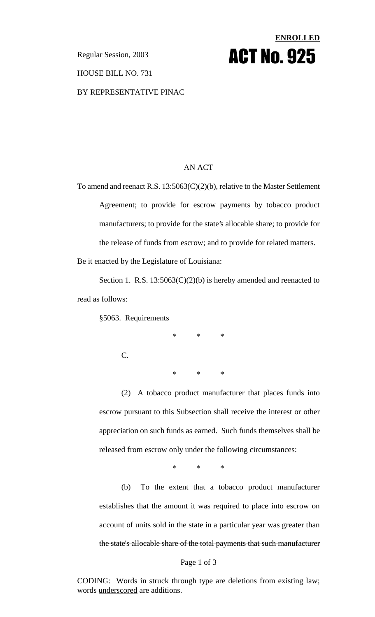# **ENROLLED Regular Session, 2003 ACT NO. 925**

#### HOUSE BILL NO. 731

BY REPRESENTATIVE PINAC

#### AN ACT

To amend and reenact R.S. 13:5063(C)(2)(b), relative to the Master Settlement Agreement; to provide for escrow payments by tobacco product manufacturers; to provide for the state's allocable share; to provide for the release of funds from escrow; and to provide for related matters. Be it enacted by the Legislature of Louisiana:

Section 1. R.S. 13:5063(C)(2)(b) is hereby amended and reenacted to read as follows:

§5063. Requirements

C.

\* \* \*

\* \* \*

(2) A tobacco product manufacturer that places funds into escrow pursuant to this Subsection shall receive the interest or other appreciation on such funds as earned. Such funds themselves shall be released from escrow only under the following circumstances:

\* \* \*

(b) To the extent that a tobacco product manufacturer establishes that the amount it was required to place into escrow on account of units sold in the state in a particular year was greater than the state's allocable share of the total payments that such manufacturer

#### Page 1 of 3

CODING: Words in struck through type are deletions from existing law; words underscored are additions.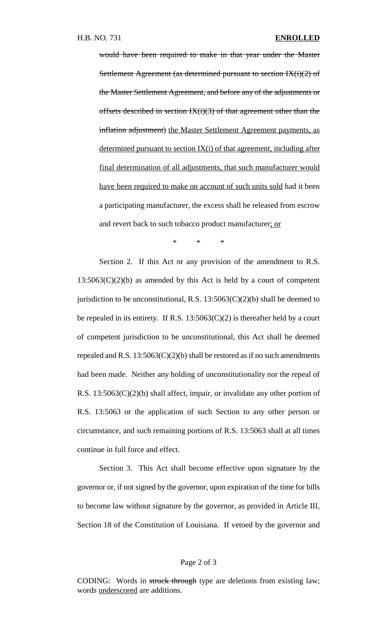would have been required to make in that year under the Master Settlement Agreement (as determined pursuant to section  $IX(i)(2)$  of the Master Settlement Agreement, and before any of the adjustments or offsets described in section  $IX(i)(3)$  of that agreement other than the inflation adjustment) the Master Settlement Agreement payments, as determined pursuant to section IX(i) of that agreement, including after final determination of all adjustments, that such manufacturer would have been required to make on account of such units sold had it been a participating manufacturer, the excess shall be released from escrow and revert back to such tobacco product manufacturer; or

\* \* \*

Section 2. If this Act or any provision of the amendment to R.S.  $13:5063(C)(2)(b)$  as amended by this Act is held by a court of competent jurisdiction to be unconstitutional, R.S.  $13:5063(C)(2)(b)$  shall be deemed to be repealed in its entirety. If R.S.  $13:5063(C)(2)$  is thereafter held by a court of competent jurisdiction to be unconstitutional, this Act shall be deemed repealed and R.S.  $13:5063(C)(2)(b)$  shall be restored as if no such amendments had been made. Neither any holding of unconstitutionality nor the repeal of R.S. 13:5063(C)(2)(b) shall affect, impair, or invalidate any other portion of R.S. 13:5063 or the application of such Section to any other person or circumstance, and such remaining portions of R.S. 13:5063 shall at all times continue in full force and effect.

Section 3. This Act shall become effective upon signature by the governor or, if not signed by the governor, upon expiration of the time for bills to become law without signature by the governor, as provided in Article III, Section 18 of the Constitution of Louisiana. If vetoed by the governor and

#### Page 2 of 3

CODING: Words in struck through type are deletions from existing law; words underscored are additions.